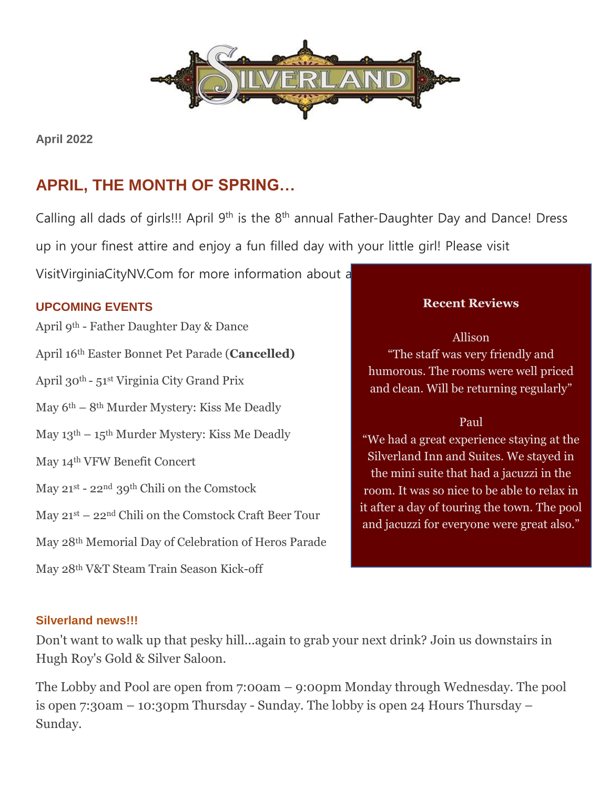

**April 2022**

# **APRIL, THE MONTH OF SPRING…**

Calling all dads of girls!!! April 9<sup>th</sup> is the 8<sup>th</sup> annual Father-Daughter Day and Dance! Dress up in your finest attire and enjoy a fun filled day with your little girl! Please visit

VisitVirginiaCityNV.Com for more information about a

## **UPCOMING EVENTS**

April 9th - Father Daughter Day & Dance April 16th Easter Bonnet Pet Parade (**Cancelled)** April 30th - 51st Virginia City Grand Prix May 6th – 8th Murder Mystery: Kiss Me Deadly May  $13<sup>th</sup> - 15<sup>th</sup>$  Murder Mystery: Kiss Me Deadly May 14th VFW Benefit Concert May 21st - 22nd 39th Chili on the Comstock May 21st – 22nd Chili on the Comstock Craft Beer Tour May 28th Memorial Day of Celebration of Heros Parade May 28th V&T Steam Train Season Kick-off

## **Recent Reviews**

Allison "The staff was very friendly and humorous. The rooms were well priced and clean. Will be returning regularly"

#### Paul

"We had a great experience staying at the Silverland Inn and Suites. We stayed in the mini suite that had a jacuzzi in the room. It was so nice to be able to relax in it after a day of touring the town. The pool and jacuzzi for everyone were great also."

#### **Silverland news!!!**

Don't want to walk up that pesky hill...again to grab your next drink? Join us downstairs in Hugh Roy's Gold & Silver Saloon.

The Lobby and Pool are open from 7:00am – 9:00pm Monday through Wednesday. The pool is open 7:30am – 10:30pm Thursday - Sunday. The lobby is open 24 Hours Thursday – Sunday.